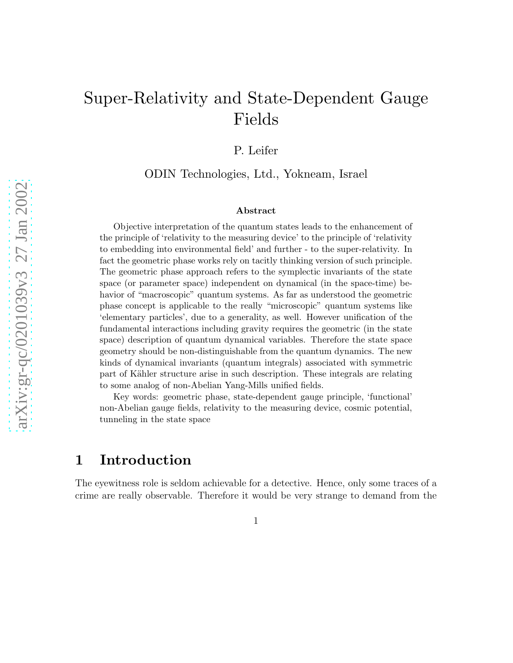# Super-Relativity and State-Dependent Gauge Fields

P. Leifer

ODIN Technologies, Ltd., Yokneam, Israel

#### Abstract

Objective interpretation of the quantum states leads to the enhancement of the principle of 'relativity to the measuring device' to the principle of 'relativity to embedding into environmental field' and further - to the super-relativity. In fact the geometric phase works rely on tacitly thinking version of such principle. The geometric phase approach refers to the symplectic invariants of the state space (or parameter space) independent on dynamical (in the space-time) behavior of "macroscopic" quantum systems. As far as understood the geometric phase concept is applicable to the really "microscopic" quantum systems like 'elementary particles', due to a generality, as well. However unification of the fundamental interactions including gravity requires the geometric (in the state space) description of quantum dynamical variables. Therefore the state space geometry should be non-distinguishable from the quantum dynamics. The new kinds of dynamical invariants (quantum integrals) associated with symmetric part of Kähler structure arise in such description. These integrals are relating to some analog of non-Abelian Yang-Mills unified fields.

Key words: geometric phase, state-dependent gauge principle, 'functional' non-Abelian gauge fields, relativity to the measuring device, cosmic potential, tunneling in the state space

### 1 Introduction

The eyewitness role is seldom achievable for a detective. Hence, only some traces of a crime are really observable. Therefore it would be very strange to demand from the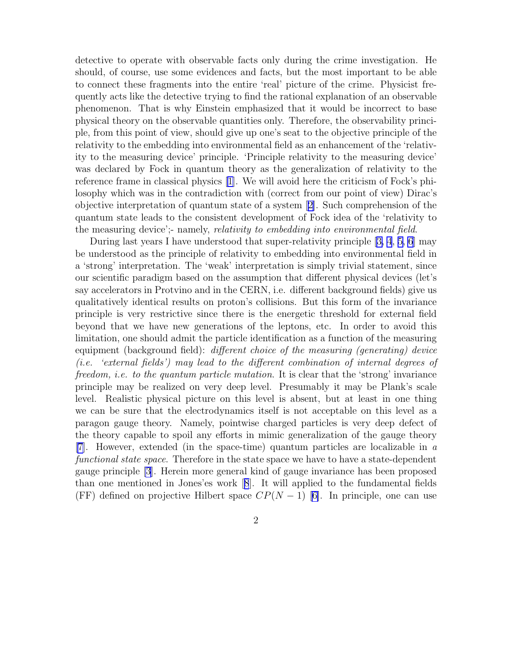detective to operate with observable facts only during the crime investigation. He should, of course, use some evidences and facts, but the most important to be able to connect these fragments into the entire 'real' picture of the crime. Physicist frequently acts like the detective trying to find the rational explanation of an observable phenomenon. That is why Einstein emphasized that it would be incorrect to base physical theory on the observable quantities only. Therefore, the observability principle, from this point of view, should give up one's seat to the objective principle of the relativity to the embedding into environmental field as an enhancement of the 'relativity to the measuring device' principle. 'Principle relativity to the measuring device' was declared by Fock in quantum theory as the generalization of relativity to the reference frame in classical physics [\[1\]](#page-18-0). We will avoid here the criticism of Fock's philosophy which was in the contradiction with (correct from our point of view) Dirac's objective interpretation of quantum state of a system[[2\]](#page-18-0). Such comprehension of the quantum state leads to the consistent development of Fock idea of the 'relativity to the measuring device';- namely, *relativity to embedding into environmental field*.

During last years I have understood that super-relativity principle [[3, 4](#page-18-0), [5, 6](#page-18-0)] may be understood as the principle of relativity to embedding into environmental field in a 'strong' interpretation. The 'weak' interpretation is simply trivial statement, since our scientific paradigm based on the assumption that different physical devices (let's say accelerators in Protvino and in the CERN, i.e. different background fields) give us qualitatively identical results on proton's collisions. But this form of the invariance principle is very restrictive since there is the energetic threshold for external field beyond that we have new generations of the leptons, etc. In order to avoid this limitation, one should admit the particle identification as a function of the measuring equipment (background field): different choice of the measuring (generating) device (i.e. 'external fields') may lead to the different combination of internal degrees of freedom, i.e. to the quantum particle mutation. It is clear that the 'strong' invariance principle may be realized on very deep level. Presumably it may be Plank's scale level. Realistic physical picture on this level is absent, but at least in one thing we can be sure that the electrodynamics itself is not acceptable on this level as a paragon gauge theory. Namely, pointwise charged particles is very deep defect of the theory capable to spoil any efforts in mimic generalization of the gauge theory [\[7\]](#page-18-0). However, extended (in the space-time) quantum particles are localizable in a functional state space. Therefore in the state space we have to have a state-dependent gauge principle [\[3](#page-18-0)]. Herein more general kind of gauge invariance has been proposed than one mentioned in Jones'es work[[8](#page-18-0)]. It will applied to the fundamental fields (FF)defined on projective Hilbert space  $CP(N-1)$  [[6\]](#page-18-0). In principle, one can use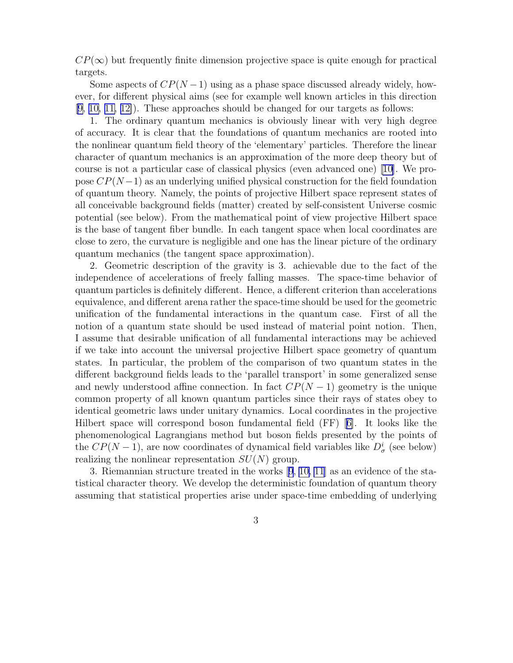$CP(\infty)$  but frequently finite dimension projective space is quite enough for practical targets.

Some aspects of  $CP(N-1)$  using as a phase space discussed already widely, however, for different physical aims (see for example well known articles in this direction [\[9, 10, 11, 12\]](#page-18-0)). These approaches should be changed for our targets as follows:

1. The ordinary quantum mechanics is obviously linear with very high degree of accuracy. It is clear that the foundations of quantum mechanics are rooted into the nonlinear quantum field theory of the 'elementary' particles. Therefore the linear character of quantum mechanics is an approximation of the more deep theory but of course is not a particular case of classical physics (even advanced one) [\[10\]](#page-18-0). We propose  $CP(N-1)$  as an underlying unified physical construction for the field foundation of quantum theory. Namely, the points of projective Hilbert space represent states of all conceivable background fields (matter) created by self-consistent Universe cosmic potential (see below). From the mathematical point of view projective Hilbert space is the base of tangent fiber bundle. In each tangent space when local coordinates are close to zero, the curvature is negligible and one has the linear picture of the ordinary quantum mechanics (the tangent space approximation).

2. Geometric description of the gravity is 3. achievable due to the fact of the independence of accelerations of freely falling masses. The space-time behavior of quantum particles is definitely different. Hence, a different criterion than accelerations equivalence, and different arena rather the space-time should be used for the geometric unification of the fundamental interactions in the quantum case. First of all the notion of a quantum state should be used instead of material point notion. Then, I assume that desirable unification of all fundamental interactions may be achieved if we take into account the universal projective Hilbert space geometry of quantum states. In particular, the problem of the comparison of two quantum states in the different background fields leads to the 'parallel transport' in some generalized sense and newly understood affine connection. In fact  $CP(N-1)$  geometry is the unique common property of all known quantum particles since their rays of states obey to identical geometric laws under unitary dynamics. Local coordinates in the projective Hilbert space will correspond boson fundamental field (FF)[[6\]](#page-18-0). It looks like the phenomenological Lagrangians method but boson fields presented by the points of the  $CP(N-1)$ , are now coordinates of dynamical field variables like  $D^i_\sigma$  (see below) realizing the nonlinear representation  $SU(N)$  group.

3. Riemannian structure treated in the works[[9](#page-18-0), [10, 11](#page-18-0)] as an evidence of the statistical character theory. We develop the deterministic foundation of quantum theory assuming that statistical properties arise under space-time embedding of underlying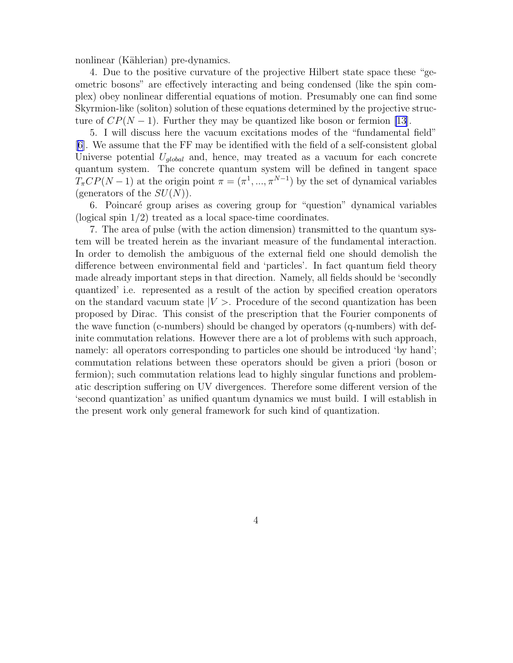nonlinear (Kählerian) pre-dynamics.

4. Due to the positive curvature of the projective Hilbert state space these "geometric bosons" are effectively interacting and being condensed (like the spin complex) obey nonlinear differential equations of motion. Presumably one can find some Skyrmion-like (soliton) solution of these equations determined by the projective structure of  $CP(N-1)$ . Further they may be quantized like boson or fermion [\[13](#page-18-0)].

5. I will discuss here the vacuum excitations modes of the "fundamental field" [[6\]](#page-18-0). We assume that the FF may be identified with the field of a self-consistent global Universe potential  $U_{global}$  and, hence, may treated as a vacuum for each concrete quantum system. The concrete quantum system will be defined in tangent space  $T_{\pi}CP(N-1)$  at the origin point  $\pi = (\pi^1, ..., \pi^{N-1})$  by the set of dynamical variables (generators of the  $SU(N)$ ).

6. Poincar´e group arises as covering group for "question" dynamical variables (logical spin 1/2) treated as a local space-time coordinates.

7. The area of pulse (with the action dimension) transmitted to the quantum system will be treated herein as the invariant measure of the fundamental interaction. In order to demolish the ambiguous of the external field one should demolish the difference between environmental field and 'particles'. In fact quantum field theory made already important steps in that direction. Namely, all fields should be 'secondly quantized' i.e. represented as a result of the action by specified creation operators on the standard vacuum state  $|V\rangle$ . Procedure of the second quantization has been proposed by Dirac. This consist of the prescription that the Fourier components of the wave function (c-numbers) should be changed by operators (q-numbers) with definite commutation relations. However there are a lot of problems with such approach, namely: all operators corresponding to particles one should be introduced 'by hand'; commutation relations between these operators should be given a priori (boson or fermion); such commutation relations lead to highly singular functions and problematic description suffering on UV divergences. Therefore some different version of the 'second quantization' as unified quantum dynamics we must build. I will establish in the present work only general framework for such kind of quantization.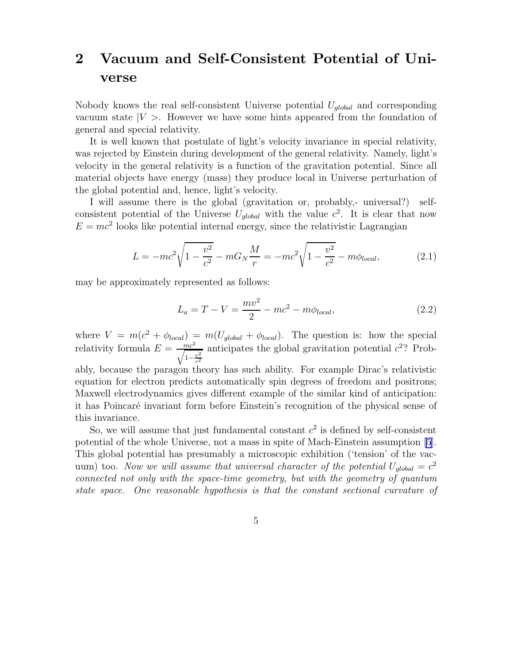## 2 Vacuum and Self-Consistent Potential of Universe

Nobody knows the real self-consistent Universe potential  $U_{global}$  and corresponding vacuum state  $|V\rangle$ . However we have some hints appeared from the foundation of general and special relativity.

It is well known that postulate of light's velocity invariance in special relativity, was rejected by Einstein during development of the general relativity. Namely, light's velocity in the general relativity is a function of the gravitation potential. Since all material objects have energy (mass) they produce local in Universe perturbation of the global potential and, hence, light's velocity.

I will assume there is the global (gravitation or, probably,- universal?) selfconsistent potential of the Universe  $U_{global}$  with the value  $c^2$ . It is clear that now  $E = mc<sup>2</sup>$  looks like potential internal energy, since the relativistic Lagrangian

$$
L = -mc^2 \sqrt{1 - \frac{v^2}{c^2}} - mG_N \frac{M}{r} = -mc^2 \sqrt{1 - \frac{v^2}{c^2}} - m\phi_{local},
$$
 (2.1)

may be approximately represented as follows:

this invariance.

$$
L_a = T - V = \frac{mv^2}{2} - mc^2 - m\phi_{local},
$$
\n(2.2)

where  $V = m(c^2 + \phi_{local}) = m(U_{global} + \phi_{local})$ . The question is: how the special relativity formula  $E = \frac{mc^2}{\sqrt{mc^2}}$  $\sqrt{1-\frac{v^2}{c^2}}$ anticipates the global gravitation potential  $c^2$ ? Probably, because the paragon theory has such ability. For example Dirac's relativistic equation for electron predicts automatically spin degrees of freedom and positrons; Maxwell electrodynamics gives different example of the similar kind of anticipation: it has Poincar´e invariant form before Einstein's recognition of the physical sense of

So, we will assume that just fundamental constant  $c^2$  is defined by self-consistent potential of the whole Universe, not a mass in spite of Mach-Einstein assumption [\[5](#page-18-0)]. This global potential has presumably a microscopic exhibition ('tension' of the vacuum) too. Now we will assume that universal character of the potential  $U_{global} = c^2$ connected not only with the space-time geometry, but with the geometry of quantum state space. One reasonable hypothesis is that the constant sectional curvature of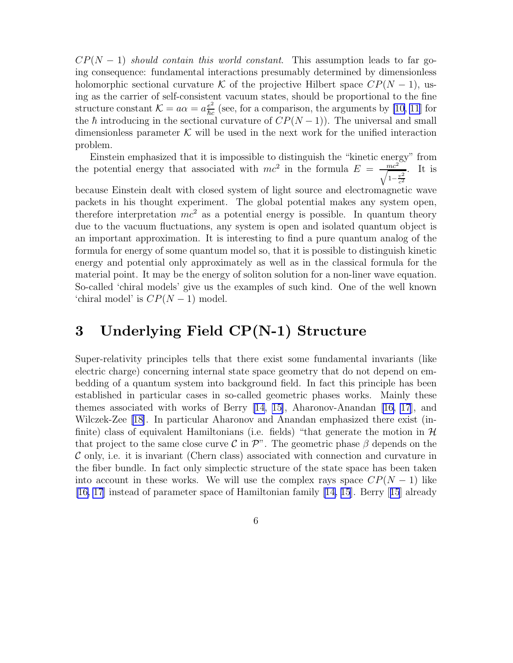$CP(N-1)$  should contain this world constant. This assumption leads to far going consequence: fundamental interactions presumably determined by dimensionless holomorphic sectional curvature K of the projective Hilbert space  $\mathbb{CP}(N-1)$ , using as the carrier of self-consistent vacuum states, should be proportional to the fine structure constant  $\mathcal{K} = a\alpha = a\frac{e^2}{\hbar c}$  (see, for a comparison, the arguments by [\[10](#page-18-0), [11](#page-18-0)] for the  $\hbar$  introducing in the sectional curvature of  $CP(N-1)$ ). The universal and small dimensionless parameter  $K$  will be used in the next work for the unified interaction problem.

Einstein emphasized that it is impossible to distinguish the "kinetic energy" from the potential energy that associated with  $mc^2$  in the formula  $E = \frac{mc^2}{\sqrt{mc^2}}$  $\sqrt{1-\frac{v^2}{c^2}}$ . It is

because Einstein dealt with closed system of light source and electromagnetic wave packets in his thought experiment. The global potential makes any system open, therefore interpretation  $mc^2$  as a potential energy is possible. In quantum theory due to the vacuum fluctuations, any system is open and isolated quantum object is an important approximation. It is interesting to find a pure quantum analog of the formula for energy of some quantum model so, that it is possible to distinguish kinetic energy and potential only approximately as well as in the classical formula for the material point. It may be the energy of soliton solution for a non-liner wave equation. So-called 'chiral models' give us the examples of such kind. One of the well known 'chiral model' is  $CP(N-1)$  model.

## 3 Underlying Field CP(N-1) Structure

Super-relativity principles tells that there exist some fundamental invariants (like electric charge) concerning internal state space geometry that do not depend on embedding of a quantum system into background field. In fact this principle has been established in particular cases in so-called geometric phases works. Mainly these themes associated with works of Berry [\[14, 15\]](#page-18-0), Aharonov-Anandan[[16, 17](#page-18-0)], and Wilczek-Zee [\[18\]](#page-18-0). In particular Aharonov and Anandan emphasized there exist (infinite) class of equivalent Hamiltonians (i.e. fields) "that generate the motion in  $\mathcal{H}$ that project to the same close curve C in  $\mathcal{P}$ ". The geometric phase  $\beta$  depends on the  $\mathcal C$  only, i.e. it is invariant (Chern class) associated with connection and curvature in the fiber bundle. In fact only simplectic structure of the state space has been taken into account in these works. We will use the complex rays space  $\mathbb{CP}(N-1)$  like [\[16, 17](#page-18-0)] instead of parameter space of Hamiltonian family [\[14, 15](#page-18-0)]. Berry[[15](#page-18-0)] already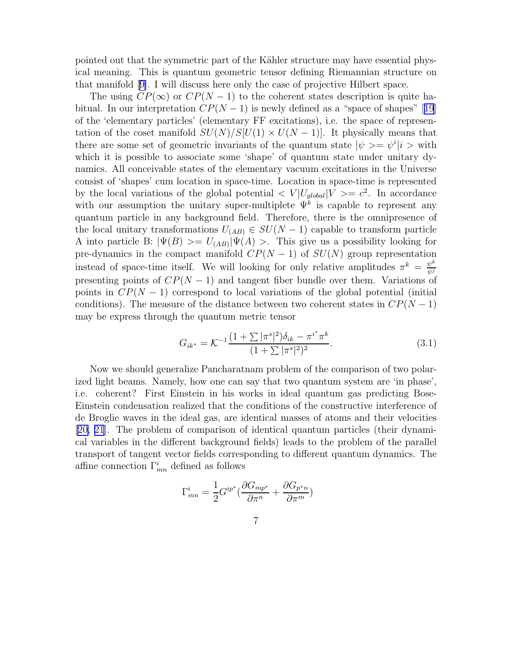<span id="page-6-0"></span>pointed out that the symmetric part of the Kähler structure may have essential physical meaning. This is quantum geometric tensor defining Riemannian structure on that manifold[[9\]](#page-18-0). I will discuss here only the case of projective Hilbert space.

The using  $CP(\infty)$  or  $CP(N-1)$  to the coherent states description is quite ha-bitual.In our interpretation  $CP(N-1)$  is newly defined as a "space of shapes" [[19](#page-19-0)] of the 'elementary particles' (elementary FF excitations), i.e. the space of representation of the coset manifold  $SU(N)/S[U(1) \times U(N-1)]$ . It physically means that there are some set of geometric invariants of the quantum state  $|\psi\rangle = \psi^i|i\rangle$  with which it is possible to associate some 'shape' of quantum state under unitary dynamics. All conceivable states of the elementary vacuum excitations in the Universe consist of 'shapes' cum location in space-time. Location in space-time is represented by the local variations of the global potential  $\langle V|U_{global}|V\rangle = c^2$ . In accordance with our assumption the unitary super-multiplete  $\Psi^k$  is capable to represent any quantum particle in any background field. Therefore, there is the omnipresence of the local unitary transformations  $U_{(AB)} \in SU(N-1)$  capable to transform particle A into particle B:  $|\Psi(B)\rangle = U_{(AB)}|\Psi(A)\rangle$ . This give us a possibility looking for pre-dynamics in the compact manifold  $CP(N-1)$  of  $SU(N)$  group representation instead of space-time itself. We will looking for only relative amplitudes  $\pi^k = \frac{\psi^k}{\psi^k}$  $\overline{\psi^j}$ presenting points of  $CP(N-1)$  and tangent fiber bundle over them. Variations of points in  $CP(N-1)$  correspond to local variations of the global potential (initial conditions). The measure of the distance between two coherent states in  $\mathbb{CP}(N-1)$ may be express through the quantum metric tensor

$$
G_{ik^*} = \mathcal{K}^{-1} \frac{(1 + \sum |\pi^s|^2) \delta_{ik} - \pi^{i^*} \pi^k}{(1 + \sum |\pi^s|^2)^2}.
$$
 (3.1)

Now we should generalize Pancharatnam problem of the comparison of two polarized light beams. Namely, how one can say that two quantum system are 'in phase', i.e. coherent? First Einstein in his works in ideal quantum gas predicting Bose-Einstein condensation realized that the conditions of the constructive interference of de Broglie waves in the ideal gas, are identical masses of atoms and their velocities [[20, 21](#page-19-0)]. The problem of comparison of identical quantum particles (their dynamical variables in the different background fields) leads to the problem of the parallel transport of tangent vector fields corresponding to different quantum dynamics. The affine connection  $\Gamma^i_{mn}$  defined as follows

$$
\Gamma_{mn}^i = \frac{1}{2} G^{ip^*} (\frac{\partial G_{mp^*}}{\partial \pi^n} + \frac{\partial G_{p^*n}}{\partial \pi^m})
$$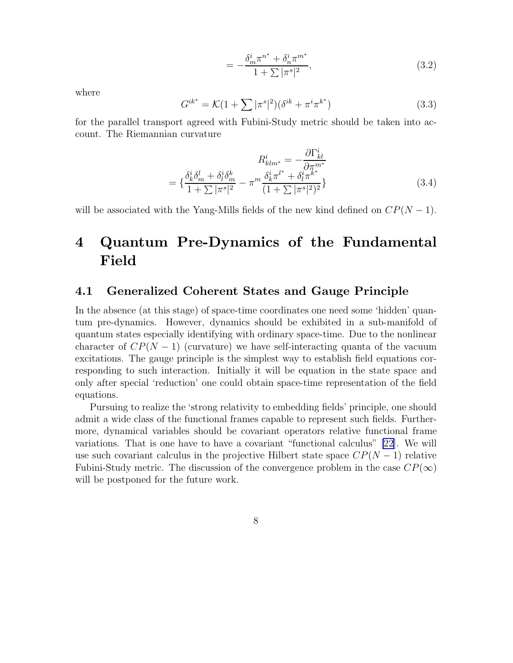$$
= -\frac{\delta_m^i \pi^{n^*} + \delta_n^i \pi^{m^*}}{1 + \sum |\pi^s|^2},
$$
\n(3.2)

where

$$
G^{ik^*} = \mathcal{K}(1 + \sum |\pi^s|^2)(\delta^{ik} + \pi^i \pi^{k^*})
$$
\n(3.3)

for the parallel transport agreed with Fubini-Study metric should be taken into account. The Riemannian curvature

$$
R_{klm^*}^i = -\frac{\partial \Gamma_{kl}^i}{\partial \pi^{m^*}}
$$

$$
= \left\{ \frac{\delta_k^i \delta_m^l + \delta_l^i \delta_m^k}{1 + \sum |\pi^s|^2} - \pi^m \frac{\delta_k^i \pi^{l^*} + \delta_l^i \pi^{k^*}}{(1 + \sum |\pi^s|^2)^2} \right\}
$$
(3.4)

will be associated with the Yang-Mills fields of the new kind defined on  $CP(N-1)$ .

## 4 Quantum Pre-Dynamics of the Fundamental Field

### 4.1 Generalized Coherent States and Gauge Principle

In the absence (at this stage) of space-time coordinates one need some 'hidden' quantum pre-dynamics. However, dynamics should be exhibited in a sub-manifold of quantum states especially identifying with ordinary space-time. Due to the nonlinear character of  $CP(N-1)$  (curvature) we have self-interacting quanta of the vacuum excitations. The gauge principle is the simplest way to establish field equations corresponding to such interaction. Initially it will be equation in the state space and only after special 'reduction' one could obtain space-time representation of the field equations.

Pursuing to realize the 'strong relativity to embedding fields' principle, one should admit a wide class of the functional frames capable to represent such fields. Furthermore, dynamical variables should be covariant operators relative functional frame variations. That is one have to have a covariant "functional calculus" [\[22\]](#page-19-0). We will use such covariant calculus in the projective Hilbert state space  $CP(N-1)$  relative Fubini-Study metric. The discussion of the convergence problem in the case  $CP(\infty)$ will be postponed for the future work.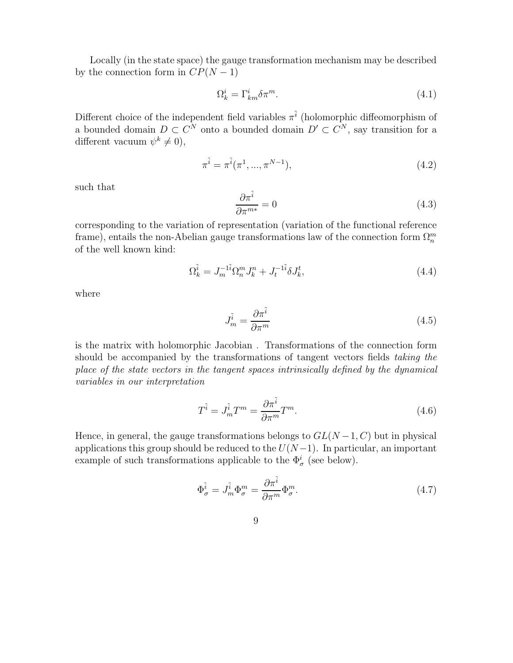<span id="page-8-0"></span>Locally (in the state space) the gauge transformation mechanism may be described by the connection form in  $CP(N-1)$ 

$$
\Omega_k^i = \Gamma_{km}^i \delta \pi^m. \tag{4.1}
$$

Different choice of the independent field variables  $\pi^{\tilde{i}}$  (holomorphic diffeomorphism of a bounded domain  $D \subset C^N$  onto a bounded domain  $D' \subset C^N$ , say transition for a different vacuum  $\psi^k \neq 0$ ,

$$
\pi^{\tilde{i}} = \pi^{\tilde{i}}(\pi^1, ..., \pi^{N-1}),
$$
\n(4.2)

such that

$$
\frac{\partial \pi^{\tilde{i}}}{\partial \pi^{m*}} = 0 \tag{4.3}
$$

corresponding to the variation of representation (variation of the functional reference frame), entails the non-Abelian gauge transformations law of the connection form  $\Omega_n^m$ of the well known kind:

$$
\Omega_k^{\tilde{i}} = J_m^{-1\tilde{i}} \Omega_n^m J_k^n + J_t^{-1\tilde{i}} \delta J_k^t,\tag{4.4}
$$

where

$$
J_m^{\tilde{i}} = \frac{\partial \pi^{\tilde{i}}}{\partial \pi^m} \tag{4.5}
$$

is the matrix with holomorphic Jacobian . Transformations of the connection form should be accompanied by the transformations of tangent vectors fields taking the place of the state vectors in the tangent spaces intrinsically defined by the dynamical variables in our interpretation

$$
T^{\tilde{i}} = J_m^{\tilde{i}} T^m = \frac{\partial \pi^{\tilde{i}}}{\partial \pi^m} T^m.
$$
\n(4.6)

Hence, in general, the gauge transformations belongs to  $GL(N-1, C)$  but in physical applications this group should be reduced to the  $U(N-1)$ . In particular, an important example of such transformations applicable to the  $\Phi^i_\sigma$  (see below).

$$
\Phi_{\sigma}^{\tilde{i}} = J_m^{\tilde{i}} \Phi_{\sigma}^m = \frac{\partial \pi^{\tilde{i}}}{\partial \pi^m} \Phi_{\sigma}^m.
$$
\n(4.7)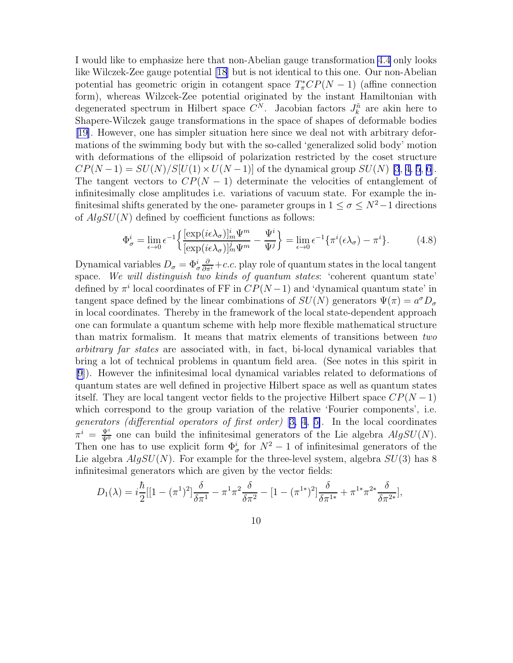I would like to emphasize here that non-Abelian gauge transformation [4.4](#page-8-0) only looks like Wilczek-Zee gauge potential [\[18\]](#page-18-0) but is not identical to this one. Our non-Abelian potential has geometric origin in cotangent space  $T^*_{\pi}CP(N-1)$  (affine connection form), whereas Wilzcek-Zee potential originated by the instant Hamiltonian with degenerated spectrum in Hilbert space  $C^N$ . Jacobian factors  $J_k^{\tilde{n}}$  are akin here to Shapere-Wilczek gauge transformations in the space of shapes of deformable bodies [[19\]](#page-19-0). However, one has simpler situation here since we deal not with arbitrary deformations of the swimming body but with the so-called 'generalized solid body' motion with deformations of the ellipsoid of polarization restricted by the coset structure  $CP(N-1) = SU(N)/S[U(1) \times U(N-1)]$  of the dynamical group  $SU(N)$  [\[3](#page-18-0), [4, 5](#page-18-0), [6](#page-18-0)]. The tangent vectors to  $CP(N-1)$  determinate the velocities of entanglement of infinitesimally close amplitudes i.e. variations of vacuum state. For example the infinitesimal shifts generated by the one- parameter groups in  $1 \le \sigma \le N^2-1$  directions of  $AlgSU(N)$  defined by coefficient functions as follows:

$$
\Phi_{\sigma}^{i} = \lim_{\epsilon \to 0} \epsilon^{-1} \left\{ \frac{[\exp(i\epsilon\lambda_{\sigma})]_{m}^{i} \Psi^{m}}{[\exp(i\epsilon\lambda_{\sigma})]_{m}^{j} \Psi^{m}} - \frac{\Psi^{i}}{\Psi^{j}} \right\} = \lim_{\epsilon \to 0} \epsilon^{-1} \{ \pi^{i}(\epsilon\lambda_{\sigma}) - \pi^{i} \}.
$$
 (4.8)

Dynamical variables  $D_{\sigma} = \Phi_{\sigma}^{i} \frac{\partial}{\partial \pi^{i}} + c.c.$  play role of quantum states in the local tangent space. We will distinguish two kinds of quantum states: 'coherent quantum state' defined by  $\pi^i$  local coordinates of FF in  $CP(N-1)$  and 'dynamical quantum state' in tangent space defined by the linear combinations of  $SU(N)$  generators  $\Psi(\pi) = a^{\sigma} D_{\sigma}$ in local coordinates. Thereby in the framework of the local state-dependent approach one can formulate a quantum scheme with help more flexible mathematical structure than matrix formalism. It means that matrix elements of transitions between two arbitrary far states are associated with, in fact, bi-local dynamical variables that bring a lot of technical problems in quantum field area. (See notes in this spirit in [[9\]](#page-18-0)). However the infinitesimal local dynamical variables related to deformations of quantum states are well defined in projective Hilbert space as well as quantum states itself. They are local tangent vector fields to the projective Hilbert space  $\mathbb{CP}(N-1)$ which correspond to the group variation of the relative 'Fourier components', i.e. generators (differential operators of first order) [[3, 4](#page-18-0), [5\]](#page-18-0). In the local coordinates  $\pi^i = \frac{\Psi^i}{\Psi^0}$  one can build the infinitesimal generators of the Lie algebra  $AlgSU(N)$ . Then one has to use explicit form  $\Phi^i_\sigma$  for  $N^2-1$  of infinitesimal generators of the Lie algebra  $AlgSU(N)$ . For example for the three-level system, algebra  $SU(3)$  has 8 infinitesimal generators which are given by the vector fields:

$$
D_1(\lambda) = i\frac{\hbar}{2}[[1 - (\pi^1)^2]\frac{\delta}{\delta \pi^1} - \pi^1 \pi^2 \frac{\delta}{\delta \pi^2} - [1 - (\pi^{1*})^2]\frac{\delta}{\delta \pi^{1*}} + \pi^{1*} \pi^{2*} \frac{\delta}{\delta \pi^{2*}}],
$$

10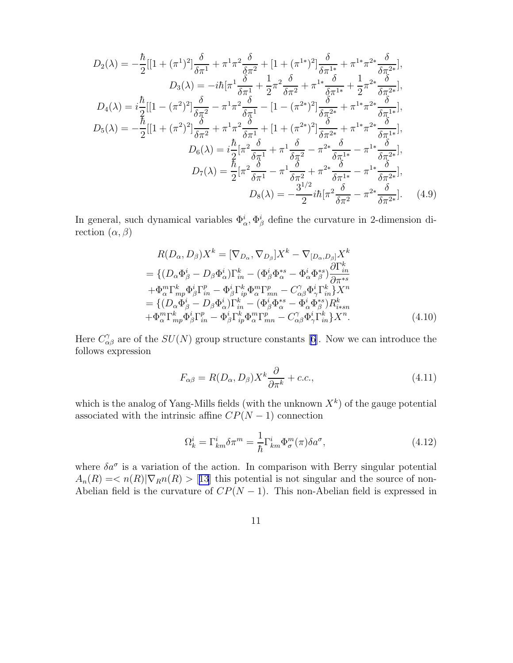<span id="page-10-0"></span>
$$
D_{2}(\lambda) = -\frac{\hbar}{2} \left[ 1 + (\pi^{1})^{2} \right] \frac{\delta}{\delta \pi^{1}} + \pi^{1} \pi^{2} \frac{\delta}{\delta \pi^{2}} + \left[ 1 + (\pi^{1*})^{2} \right] \frac{\delta}{\delta \pi^{1*}} + \pi^{1*} \pi^{2*} \frac{\delta}{\delta \pi^{2*}} \right],
$$
  
\n
$$
D_{3}(\lambda) = -i\hbar [\pi^{1} \frac{\delta}{\delta \pi^{1}} + \frac{1}{2} \pi^{2} \frac{\delta}{\delta \pi^{2}} + \pi^{1*} \frac{\delta}{\delta \pi^{1*}} + \frac{1}{2} \pi^{2*} \frac{\delta}{\delta \pi^{2*}} \right],
$$
  
\n
$$
D_{4}(\lambda) = i \frac{\hbar}{2} \left[ 1 - (\pi^{2})^{2} \right] \frac{\delta}{\delta \pi^{2}} - \pi^{1} \pi^{2} \frac{\delta}{\delta \pi^{1}} - \left[ 1 - (\pi^{2*})^{2} \right] \frac{\delta}{\delta \pi^{2*}} + \pi^{1*} \pi^{2*} \frac{\delta}{\delta \pi^{1*}} \right],
$$
  
\n
$$
D_{5}(\lambda) = -\frac{\hbar}{2} \left[ 1 + (\pi^{2})^{2} \right] \frac{\delta}{\delta \pi^{2}} + \pi^{1} \pi^{2} \frac{\delta}{\delta \pi^{1}} + \left[ 1 + (\pi^{2*})^{2} \right] \frac{\delta}{\delta \pi^{2*}} + \pi^{1*} \pi^{2*} \frac{\delta}{\delta \pi^{1*}} \right],
$$
  
\n
$$
D_{6}(\lambda) = i \frac{\hbar}{2} [\pi^{2} \frac{\delta}{\delta \pi^{1}} + \pi^{1} \frac{\delta}{\delta \pi^{2}} - \pi^{2*} \frac{\delta}{\delta \pi^{1*}} - \pi^{1*} \frac{\delta}{\delta \pi^{2*}} \right],
$$
  
\n
$$
D_{7}(\lambda) = \frac{\hbar}{2} [\pi^{2} \frac{\delta}{\delta \pi^{1}} - \pi^{1} \frac{\delta}{\delta \pi^{2}} + \pi^{2*} \frac{\delta}{\delta \pi^{1*}} - \pi^{1*} \frac{\delta}{\delta \pi^{2*}} \right],
$$
  
\n
$$
D_{8
$$

In general, such dynamical variables  $\Phi^i_{\alpha}$ ,  $\Phi^i_{\beta}$  define the curvature in 2-dimension direction  $(\alpha, \beta)$ 

$$
R(D_{\alpha}, D_{\beta})X^{k} = [\nabla_{D_{\alpha}}, \nabla_{D_{\beta}}]X^{k} - \nabla_{[D_{\alpha}, D_{\beta}]}X^{k}
$$
  
\n
$$
= \{ (D_{\alpha}\Phi_{\beta}^{i} - D_{\beta}\Phi_{\alpha}^{i})\Gamma_{in}^{k} - (\Phi_{\beta}^{i}\Phi_{\alpha}^{*s} - \Phi_{\alpha}^{i}\Phi_{\beta}^{*s})\frac{\partial\Gamma_{in}^{k}}{\partial\pi^{*s}}
$$
  
\n
$$
+ \Phi_{\alpha}^{m}\Gamma_{mp}^{k}\Phi_{\beta}^{i}\Gamma_{in}^{p} - \Phi_{\beta}^{i}\Gamma_{ip}^{k}\Phi_{\alpha}^{m}\Gamma_{mn}^{p} - C_{\alpha\beta}^{\gamma}\Phi_{\gamma}^{i}\Gamma_{in}^{k}\}X^{n}
$$
  
\n
$$
= \{ (D_{\alpha}\Phi_{\beta}^{i} - D_{\beta}\Phi_{\alpha}^{i})\Gamma_{in}^{k} - (\Phi_{\beta}^{i}\Phi_{\alpha}^{*s} - \Phi_{\alpha}^{i}\Phi_{\beta}^{*s})R_{i*sin}^{k}
$$
  
\n
$$
+ \Phi_{\alpha}^{m}\Gamma_{mp}^{k}\Phi_{\beta}^{i}\Gamma_{in}^{p} - \Phi_{\beta}^{i}\Gamma_{ip}^{k}\Phi_{\alpha}^{m}\Gamma_{mn}^{p} - C_{\alpha\beta}^{\gamma}\Phi_{\gamma}^{i}\Gamma_{in}^{k}\}X^{n}.
$$
\n(4.10)

Here  $C_{\alpha\beta}^{\gamma}$  are of the  $SU(N)$  group structure constants [\[6](#page-18-0)]. Now we can introduce the follows expression

$$
F_{\alpha\beta} = R(D_{\alpha}, D_{\beta})X^{k}\frac{\partial}{\partial \pi^{k}} + c.c.,
$$
\n(4.11)

which is the analog of Yang-Mills fields (with the unknown  $X^k$ ) of the gauge potential associated with the intrinsic affine  $CP(N-1)$  connection

$$
\Omega_k^i = \Gamma_{km}^i \delta \pi^m = \frac{1}{\hbar} \Gamma_{km}^i \Phi_\sigma^m(\pi) \delta a^\sigma,
$$
\n(4.12)

where  $\delta a^{\sigma}$  is a variation of the action. In comparison with Berry singular potential  $A_n(R) = \langle n(R) | \nabla_R n(R) \rangle$  [[13](#page-18-0)] this potential is not singular and the source of non-Abelian field is the curvature of  $CP(N-1)$ . This non-Abelian field is expressed in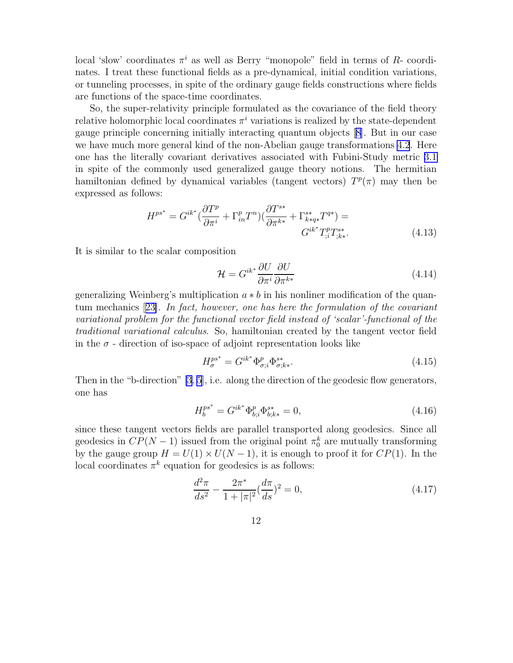local 'slow' coordinates  $\pi^i$  as well as Berry "monopole" field in terms of R- coordinates. I treat these functional fields as a pre-dynamical, initial condition variations, or tunneling processes, in spite of the ordinary gauge fields constructions where fields are functions of the space-time coordinates.

So, the super-relativity principle formulated as the covariance of the field theory relative holomorphic local coordinates  $\pi^i$  variations is realized by the state-dependent gauge principle concerning initially interacting quantum objects[[8\]](#page-18-0). But in our case we have much more general kind of the non-Abelian gauge transformations [4.2](#page-8-0). Here one has the literally covariant derivatives associated with Fubini-Study metric [3.1](#page-6-0) in spite of the commonly used generalized gauge theory notions. The hermitian hamiltonian defined by dynamical variables (tangent vectors)  $T^p(\pi)$  may then be expressed as follows:

$$
H^{ps^*} = G^{ik^*} \left( \frac{\partial T^p}{\partial \pi^i} + \Gamma^p_{in} T^n \right) \left( \frac{\partial T^{s*}}{\partial \pi^{k*}} + \Gamma^{s*}_{k*q*} T^{q*} \right) =
$$
  

$$
G^{ik^*} T^p_{ik} T^{s*}_{k*}.
$$
 (4.13)

It is similar to the scalar composition

$$
\mathcal{H} = G^{ik^*} \frac{\partial U}{\partial \pi^i} \frac{\partial U}{\partial \pi^{k*}}
$$
\n(4.14)

generalizing Weinberg's multiplication  $a * b$  in his nonliner modification of the quantum mechanics[[23\]](#page-19-0). In fact, however, one has here the formulation of the covariant variational problem for the functional vector field instead of 'scalar'-functional of the traditional variational calculus. So, hamiltonian created by the tangent vector field in the  $\sigma$  - direction of iso-space of adjoint representation looks like

$$
H_{\sigma}^{ps^*} = G^{ik^*} \Phi_{\sigma;i}^p \Phi_{\sigma;k*}^{s*}.
$$
\n(4.15)

Then in the "b-direction" [\[3](#page-18-0), [5\]](#page-18-0), i.e. along the direction of the geodesic flow generators, one has

$$
H_b^{ps^*} = G^{ik^*} \Phi_{b;i}^p \Phi_{b;k*}^{s*} = 0,
$$
\n(4.16)

since these tangent vectors fields are parallel transported along geodesics. Since all geodesics in  $CP(N-1)$  issued from the original point  $\pi_0^k$  are mutually transforming by the gauge group  $H = U(1) \times U(N-1)$ , it is enough to proof it for  $CP(1)$ . In the local coordinates  $\pi^k$  equation for geodesics is as follows:

$$
\frac{d^2\pi}{ds^2} - \frac{2\pi^*}{1+|\pi|^2} \left(\frac{d\pi}{ds}\right)^2 = 0,
$$
\n(4.17)

12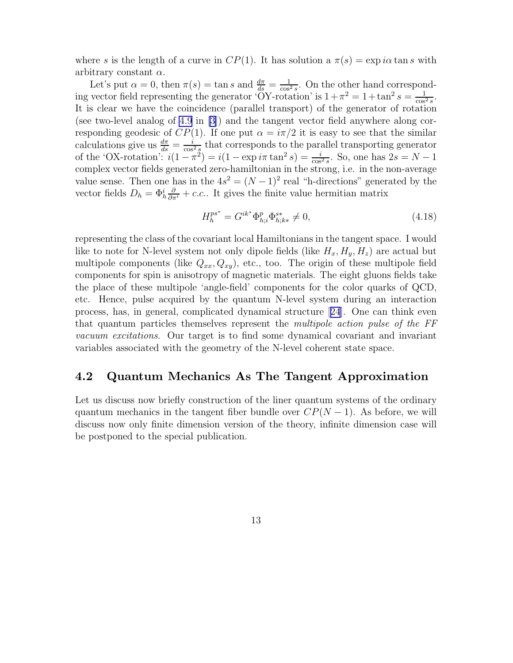where s is the length of a curve in  $CP(1)$ . It has solution a  $\pi(s) = \exp i\alpha \tan s$  with arbitrary constant  $\alpha$ .

Let's put  $\alpha = 0$ , then  $\pi(s) = \tan s$  and  $\frac{d\pi}{ds} = \frac{1}{\cos^2 s}$ . On the other hand corresponding vector field representing the generator 'OY-rotation' is  $1 + \pi^2 = 1 + \tan^2 s = \frac{1}{\cos^2 s}$ . It is clear we have the coincidence (parallel transport) of the generator of rotation (see two-level analog of [4.9](#page-10-0) in [\[3](#page-18-0)]) and the tangent vector field anywhere along corresponding geodesic of  $CP(1)$ . If one put  $\alpha = i\pi/2$  it is easy to see that the similar calculations give us  $\frac{d\pi}{ds} = \frac{i}{\cos^2 s}$  that corresponds to the parallel transporting generator of the 'OX-rotation':  $i(1 - \pi^2) = i(1 - \exp i\pi \tan^2 s) = \frac{i}{\cos^2 s}$ . So, one has  $2s = N - 1$ complex vector fields generated zero-hamiltonian in the strong, i.e. in the non-average value sense. Then one has in the  $4s^2 = (N-1)^2$  real "h-directions" generated by the vector fields  $D_h = \Phi^i_h \frac{\partial}{\partial \pi^i} + c.c.$ . It gives the finite value hermitian matrix

$$
H_h^{ps^*} = G^{ik^*} \Phi_{h;i}^p \Phi_{h;k*}^{s*} \neq 0,
$$
\n(4.18)

representing the class of the covariant local Hamiltonians in the tangent space. I would like to note for N-level system not only dipole fields (like  $H_x, H_y, H_z$ ) are actual but multipole components (like  $Q_{xx}, Q_{xy}$ ), etc., too. The origin of these multipole field components for spin is anisotropy of magnetic materials. The eight gluons fields take the place of these multipole 'angle-field' components for the color quarks of QCD, etc. Hence, pulse acquired by the quantum N-level system during an interaction process, has, in general, complicated dynamical structure[[24](#page-19-0)]. One can think even that quantum particles themselves represent the *multipole action pulse of the FF* vacuum excitations. Our target is to find some dynamical covariant and invariant variables associated with the geometry of the N-level coherent state space.

### 4.2 Quantum Mechanics As The Tangent Approximation

Let us discuss now briefly construction of the liner quantum systems of the ordinary quantum mechanics in the tangent fiber bundle over  $CP(N-1)$ . As before, we will discuss now only finite dimension version of the theory, infinite dimension case will be postponed to the special publication.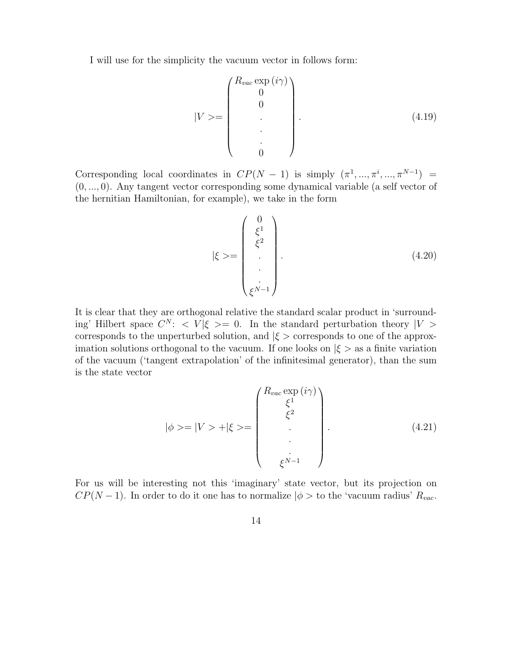I will use for the simplicity the vacuum vector in follows form:

$$
|V\rangle = \begin{pmatrix} R_{vac} \exp(i\gamma) \\ 0 \\ 0 \\ \cdot \\ \cdot \\ 0 \end{pmatrix} . \tag{4.19}
$$

Corresponding local coordinates in  $CP(N - 1)$  is simply  $(\pi^1, ..., \pi^i, ..., \pi^{N-1})$ (0, ..., 0). Any tangent vector corresponding some dynamical variable (a self vector of the hernitian Hamiltonian, for example), we take in the form

$$
|\xi \rangle = \begin{pmatrix} 0 \\ \xi^1 \\ \xi^2 \\ \vdots \\ \xi^{N-1} \end{pmatrix} . \tag{4.20}
$$

It is clear that they are orthogonal relative the standard scalar product in 'surrounding' Hilbert space  $C^N$ :  $\langle V|\xi \rangle = 0$ . In the standard perturbation theory  $|V \rangle$ corresponds to the unperturbed solution, and  $|\xi\rangle$  corresponds to one of the approximation solutions orthogonal to the vacuum. If one looks on  $|\xi\rangle$  as a finite variation of the vacuum ('tangent extrapolation' of the infinitesimal generator), than the sum is the state vector

$$
|\phi\rangle = |V\rangle + |\xi\rangle = \begin{pmatrix} R_{vac} \exp(i\gamma) \\ \xi^1 \\ \xi^2 \\ \vdots \\ \xi^{N-1} \end{pmatrix} . \tag{4.21}
$$

For us will be interesting not this 'imaginary' state vector, but its projection on  $CP(N-1)$ . In order to do it one has to normalize  $|\phi \rangle$  to the 'vacuum radius'  $R_{vac}$ .

14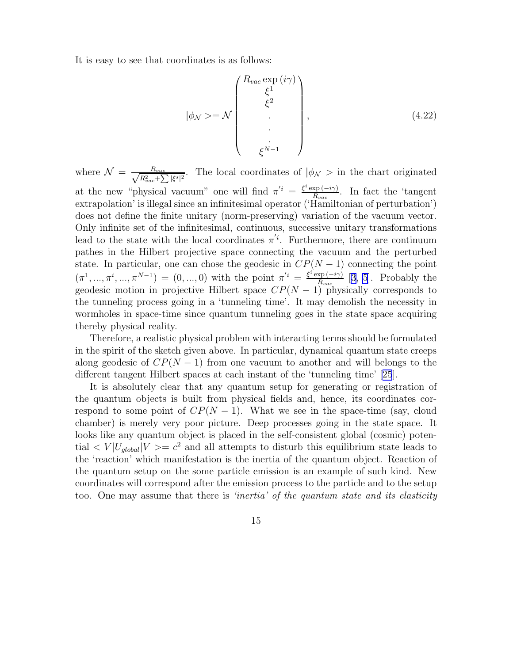It is easy to see that coordinates is as follows:

$$
|\phi_N\rangle = \mathcal{N}\begin{pmatrix} R_{vac} \exp(i\gamma) \\ \xi^1 \\ \xi^2 \\ \vdots \\ \xi^{N-1} \end{pmatrix},
$$
(4.22)

where  $\mathcal{N} = \frac{R_{vac}}{\sqrt{R_{ext}^2 + \sum_{i=1}^{n}}$  $\frac{R_{vac}}{R_{vac}^2 + \sum |\xi^s|^2}$ . The local coordinates of  $|\phi_N\rangle$  in the chart originated at the new "physical vacuum" one will find  $\pi^{i} = \frac{\xi^{i} \exp(-i\gamma)}{B_{\text{max}}}$  $\frac{\text{xp}(-i\gamma)}{R_{vac}}$ . In fact the 'tangent' extrapolation' is illegal since an infinitesimal operator ('Hamiltonian of perturbation') does not define the finite unitary (norm-preserving) variation of the vacuum vector. Only infinite set of the infinitesimal, continuous, successive unitary transformations lead to the state with the local coordinates  $\pi^{i}$ . Furthermore, there are continuum pathes in the Hilbert projective space connecting the vacuum and the perturbed state. In particular, one can chose the geodesic in  $CP(N-1)$  connecting the point  $(\pi^1, ..., \pi^i, ..., \pi^{N-1}) = (0, ..., 0)$  with the point  $\pi'^i = \frac{\xi^i \exp(-i\gamma)}{R_{\text{max}}}$  $\frac{\text{xp}(-i\gamma)}{R_{vac}}$  [\[3](#page-18-0), [5](#page-18-0)]. Probably the geodesic motion in projective Hilbert space  $CP(N-1)$  physically corresponds to the tunneling process going in a 'tunneling time'. It may demolish the necessity in wormholes in space-time since quantum tunneling goes in the state space acquiring thereby physical reality.

Therefore, a realistic physical problem with interacting terms should be formulated in the spirit of the sketch given above. In particular, dynamical quantum state creeps along geodesic of  $CP(N-1)$  from one vacuum to another and will belongs to the different tangent Hilbert spaces at each instant of the 'tunneling time'[[25](#page-19-0)].

It is absolutely clear that any quantum setup for generating or registration of the quantum objects is built from physical fields and, hence, its coordinates correspond to some point of  $CP(N-1)$ . What we see in the space-time (say, cloud chamber) is merely very poor picture. Deep processes going in the state space. It looks like any quantum object is placed in the self-consistent global (cosmic) potential  $\langle V | U_{global} | V \rangle = c^2$  and all attempts to disturb this equilibrium state leads to the 'reaction' which manifestation is the inertia of the quantum object. Reaction of the quantum setup on the some particle emission is an example of such kind. New coordinates will correspond after the emission process to the particle and to the setup too. One may assume that there is *'inertia' of the quantum state and its elasticity*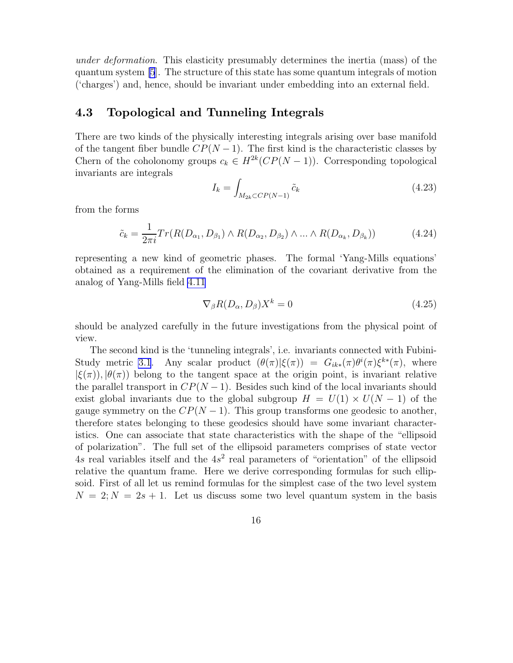under deformation. This elasticity presumably determines the inertia (mass) of the quantum system [\[5](#page-18-0)]. The structure of this state has some quantum integrals of motion ('charges') and, hence, should be invariant under embedding into an external field.

### 4.3 Topological and Tunneling Integrals

There are two kinds of the physically interesting integrals arising over base manifold of the tangent fiber bundle  $CP(N-1)$ . The first kind is the characteristic classes by Chern of the coholonomy groups  $c_k \in H^{2k}(CP(N-1))$ . Corresponding topological invariants are integrals

$$
I_k = \int_{M_{2k} \subset CP(N-1)} \tilde{c}_k \tag{4.23}
$$

from the forms

$$
\tilde{c}_k = \frac{1}{2\pi i} Tr(R(D_{\alpha_1}, D_{\beta_1}) \wedge R(D_{\alpha_2}, D_{\beta_2}) \wedge \dots \wedge R(D_{\alpha_k}, D_{\beta_k})) \tag{4.24}
$$

representing a new kind of geometric phases. The formal 'Yang-Mills equations' obtained as a requirement of the elimination of the covariant derivative from the analog of Yang-Mills field [4.11](#page-10-0)

$$
\nabla_{\beta} R(D_{\alpha}, D_{\beta}) X^{k} = 0 \qquad (4.25)
$$

should be analyzed carefully in the future investigations from the physical point of view.

The second kind is the 'tunneling integrals', i.e. invariants connected with Fubini-Study metric [3.1](#page-6-0). Any scalar product  $(\theta(\pi)|\xi(\pi)) = G_{ik*}(\pi)\theta^{i}(\pi)\xi^{k*}(\pi)$ , where  $|\xi(\pi)|$ ,  $|\theta(\pi)|$  belong to the tangent space at the origin point, is invariant relative the parallel transport in  $CP(N-1)$ . Besides such kind of the local invariants should exist global invariants due to the global subgroup  $H = U(1) \times U(N - 1)$  of the gauge symmetry on the  $CP(N-1)$ . This group transforms one geodesic to another, therefore states belonging to these geodesics should have some invariant characteristics. One can associate that state characteristics with the shape of the "ellipsoid of polarization". The full set of the ellipsoid parameters comprises of state vector  $4s$  real variables itself and the  $4s<sup>2</sup>$  real parameters of "orientation" of the ellipsoid relative the quantum frame. Here we derive corresponding formulas for such ellipsoid. First of all let us remind formulas for the simplest case of the two level system  $N = 2; N = 2s + 1$ . Let us discuss some two level quantum system in the basis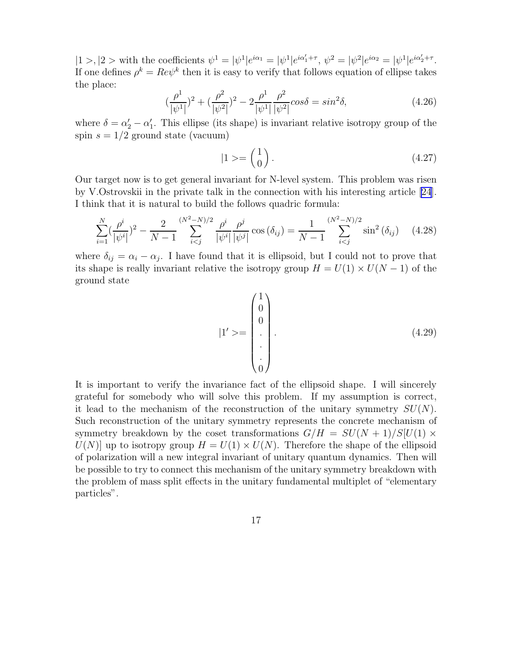$|1 \rangle, |2 \rangle$  with the coefficients  $\psi^1 = |\psi^1| e^{i\alpha_1} = |\psi^1| e^{i\alpha'_1 + \tau}, \ \psi^2 = |\psi^2| e^{i\alpha_2} = |\psi^1| e^{i\alpha'_2 + \tau}.$ If one defines  $\rho^k = Re\psi^k$  then it is easy to verify that follows equation of ellipse takes the place:

$$
(\frac{\rho^1}{|\psi^1|})^2 + (\frac{\rho^2}{|\psi^2|})^2 - 2\frac{\rho^1}{|\psi^1|} \frac{\rho^2}{|\psi^2|} cos\delta = sin^2\delta,
$$
 (4.26)

where  $\delta = \alpha'_2 - \alpha'_1$ . This ellipse (its shape) is invariant relative isotropy group of the spin  $s = 1/2$  ground state (vacuum)

$$
|1\rangle = \begin{pmatrix} 1 \\ 0 \end{pmatrix}.\tag{4.27}
$$

Our target now is to get general invariant for N-level system. This problem was risen by V.Ostrovskii in the private talk in the connection with his interesting article [\[24](#page-19-0)]. I think that it is natural to build the follows quadric formula:

$$
\sum_{i=1}^{N} \left(\frac{\rho^i}{|\psi^i|}\right)^2 - \frac{2}{N-1} \sum_{i
$$

where  $\delta_{ij} = \alpha_i - \alpha_j$ . I have found that it is ellipsoid, but I could not to prove that its shape is really invariant relative the isotropy group  $H = U(1) \times U(N - 1)$  of the ground state

$$
|1' \rangle = \begin{pmatrix} 1 \\ 0 \\ 0 \\ \vdots \\ 0 \end{pmatrix} . \tag{4.29}
$$

It is important to verify the invariance fact of the ellipsoid shape. I will sincerely grateful for somebody who will solve this problem. If my assumption is correct, it lead to the mechanism of the reconstruction of the unitary symmetry  $SU(N)$ . Such reconstruction of the unitary symmetry represents the concrete mechanism of symmetry breakdown by the coset transformations  $G/H = SU(N + 1)/S[U(1) \times$  $U(N)$  up to isotropy group  $H = U(1) \times U(N)$ . Therefore the shape of the ellipsoid of polarization will a new integral invariant of unitary quantum dynamics. Then will be possible to try to connect this mechanism of the unitary symmetry breakdown with the problem of mass split effects in the unitary fundamental multiplet of "elementary particles".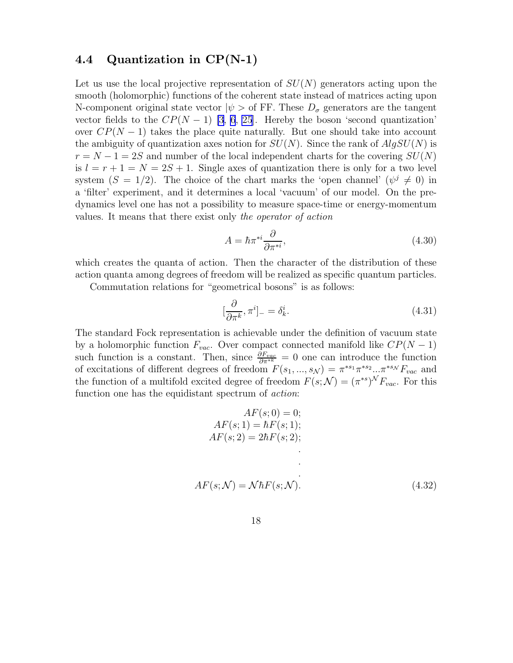### 4.4 Quantization in CP(N-1)

Let us use the local projective representation of  $SU(N)$  generators acting upon the smooth (holomorphic) functions of the coherent state instead of matrices acting upon N-component original state vector  $|\psi\rangle$  of FF. These  $D_{\sigma}$  generators are the tangent vector fields to the  $CP(N-1)$  [\[3](#page-18-0), [6](#page-18-0), [25](#page-19-0)]. Hereby the boson 'second quantization' over  $CP(N-1)$  takes the place quite naturally. But one should take into account the ambiguity of quantization axes notion for  $SU(N)$ . Since the rank of  $AlgSU(N)$  is  $r = N - 1 = 2S$  and number of the local independent charts for the covering  $SU(N)$ is  $l = r + 1 = N = 2S + 1$ . Single axes of quantization there is only for a two level system  $(S = 1/2)$ . The choice of the chart marks the 'open channel'  $(\psi^j \neq 0)$  in a 'filter' experiment, and it determines a local 'vacuum' of our model. On the predynamics level one has not a possibility to measure space-time or energy-momentum values. It means that there exist only the operator of action

$$
A = \hbar \pi^{*i} \frac{\partial}{\partial \pi^{*i}},\tag{4.30}
$$

which creates the quanta of action. Then the character of the distribution of these action quanta among degrees of freedom will be realized as specific quantum particles.

Commutation relations for "geometrical bosons" is as follows:

$$
[\frac{\partial}{\partial \pi^k}, \pi^i]_- = \delta^i_k. \tag{4.31}
$$

The standard Fock representation is achievable under the definition of vacuum state by a holomorphic function  $F_{vac}$ . Over compact connected manifold like  $CP(N-1)$ such function is a constant. Then, since  $\frac{\partial F_{vac}}{\partial \pi^{*k}} = 0$  one can introduce the function of excitations of different degrees of freedom  $F(s_1, ..., s_\mathcal{N}) = \pi^{*s_1} \pi^{*s_2} ... \pi^{*s_\mathcal{N}} F_{vac}$  and the function of a multifold excited degree of freedom  $F(s; \mathcal{N}) = (\pi^{*s})^{\mathcal{N}} F_{vac}$ . For this function one has the equidistant spectrum of *action*:

$$
AF(s; 0) = 0;
$$
  
\n
$$
AF(s; 1) = \hbar F(s; 1);
$$
  
\n
$$
AF(s; 2) = 2\hbar F(s; 2);
$$
  
\n
$$
AF(s; \mathcal{N}) = \mathcal{N}\hbar F(s; \mathcal{N}).
$$
\n(4.32)

18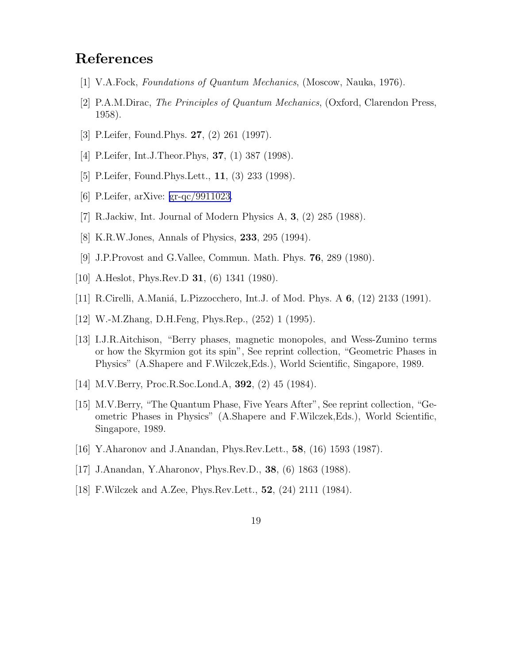### <span id="page-18-0"></span>References

- [1] V.A.Fock, Foundations of Quantum Mechanics, (Moscow, Nauka, 1976).
- [2] P.A.M.Dirac, The Principles of Quantum Mechanics, (Oxford, Clarendon Press, 1958).
- [3] P.Leifer, Found.Phys. 27, (2) 261 (1997).
- [4] P.Leifer, Int.J.Theor.Phys, **37**, (1) 387 (1998).
- [5] P.Leifer, Found.Phys.Lett., 11, (3) 233 (1998).
- [6] P.Leifer, arXive: [gr-qc/9911023.](http://arxiv.org/abs/gr-qc/9911023)
- [7] R.Jackiw, Int. Journal of Modern Physics A, 3, (2) 285 (1988).
- [8] K.R.W.Jones, Annals of Physics, 233, 295 (1994).
- [9] J.P.Provost and G.Vallee, Commun. Math. Phys. 76, 289 (1980).
- [10] A.Heslot, Phys.Rev.D 31, (6) 1341 (1980).
- [11] R.Cirelli, A.Maniá, L.Pizzocchero, Int.J. of Mod. Phys. A 6, (12) 2133 (1991).
- [12] W.-M.Zhang, D.H.Feng, Phys.Rep., (252) 1 (1995).
- [13] I.J.R.Aitchison, "Berry phases, magnetic monopoles, and Wess-Zumino terms or how the Skyrmion got its spin", See reprint collection, "Geometric Phases in Physics" (A.Shapere and F.Wilczek,Eds.), World Scientific, Singapore, 1989.
- [14] M.V.Berry, Proc.R.Soc.Lond.A, 392, (2) 45 (1984).
- [15] M.V.Berry, "The Quantum Phase, Five Years After", See reprint collection, "Geometric Phases in Physics" (A.Shapere and F.Wilczek,Eds.), World Scientific, Singapore, 1989.
- [16] Y.Aharonov and J.Anandan, Phys.Rev.Lett., 58, (16) 1593 (1987).
- [17] J.Anandan, Y.Aharonov, Phys.Rev.D., 38, (6) 1863 (1988).
- [18] F.Wilczek and A.Zee, Phys.Rev.Lett., 52, (24) 2111 (1984).